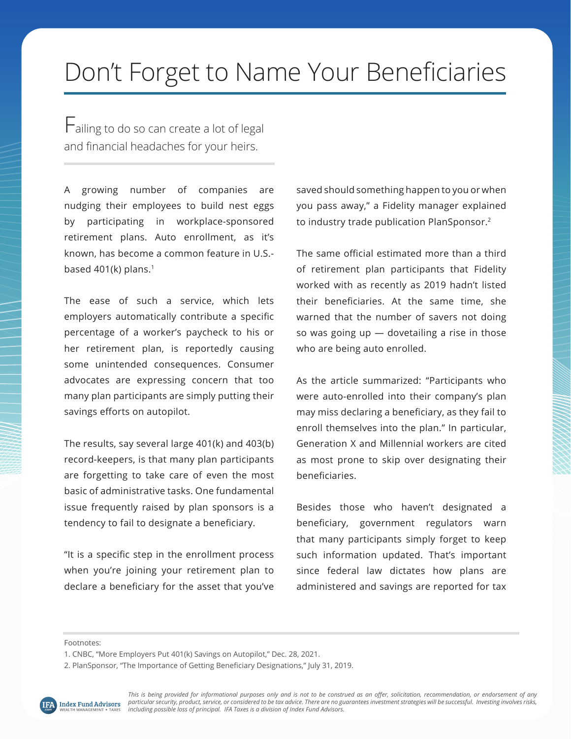## Don't Forget to Name Your Beneficiaries

Failing to do so can create a lot of legal and financial headaches for your heirs.

A growing number of companies are nudging their employees to build nest eggs by participating in workplace-sponsored retirement plans. Auto enrollment, as it's known, has become a common feature in U.S. based  $401(k)$  plans.<sup>1</sup>

The ease of such a service, which lets employers automatically contribute a specific percentage of a worker's paycheck to his or her retirement plan, is reportedly causing some unintended consequences. Consumer advocates are expressing concern that too many plan participants are simply putting their savings efforts on autopilot.

The results, say several large 401(k) and 403(b) record-keepers, is that many plan participants are forgetting to take care of even the most basic of administrative tasks. One fundamental issue frequently raised by plan sponsors is a tendency to fail to designate a beneficiary.

"It is a specific step in the enrollment process when you're joining your retirement plan to declare a beneficiary for the asset that you've saved should something happen to you or when you pass away," a Fidelity manager explained to industry trade publication PlanSponsor.2

The same official estimated more than a third of retirement plan participants that Fidelity worked with as recently as 2019 hadn't listed their beneficiaries. At the same time, she warned that the number of savers not doing so was going  $up$   $-$  dovetailing a rise in those who are being auto enrolled.

As the article summarized: "Participants who were auto-enrolled into their company's plan may miss declaring a beneficiary, as they fail to enroll themselves into the plan." In particular, Generation X and Millennial workers are cited as most prone to skip over designating their beneficiaries.

Besides those who haven't designated a beneficiary, government regulators warn that many participants simply forget to keep such information updated. That's important since federal law dictates how plans are administered and savings are reported for tax

<sup>2.</sup> PlanSponsor, "The Importance of Getting Beneficiary Designations," July 31, 2019.



Footnotes:

<sup>1.</sup> CNBC, "More Employers Put 401(k) Savings on Autopilot," Dec. 28, 2021.